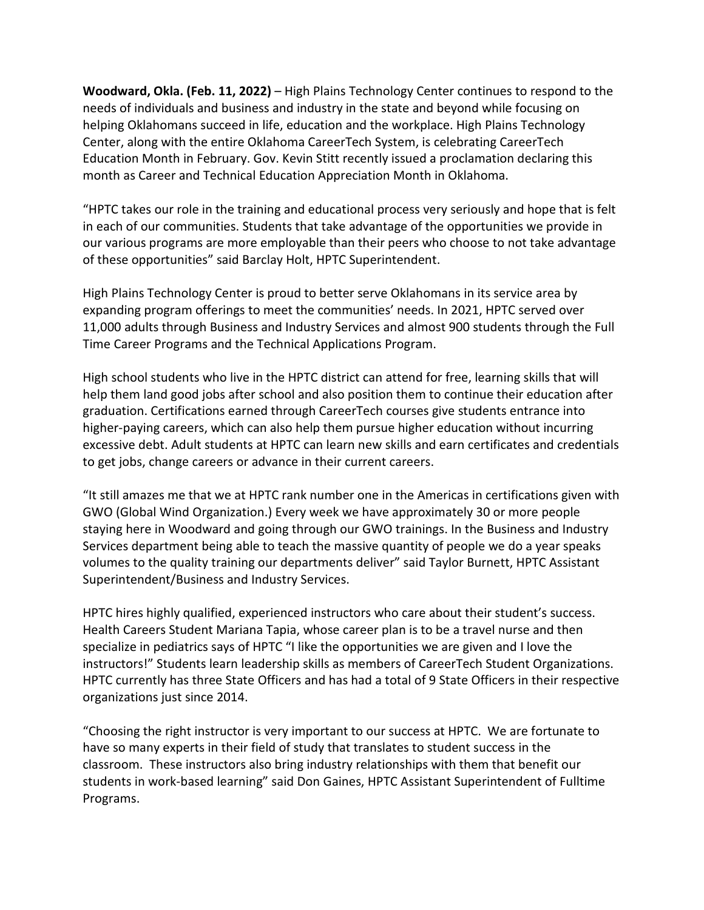**Woodward, Okla. (Feb. 11, 2022)** – High Plains Technology Center continues to respond to the needs of individuals and business and industry in the state and beyond while focusing on helping Oklahomans succeed in life, education and the workplace. High Plains Technology Center, along with the entire Oklahoma CareerTech System, is celebrating CareerTech Education Month in February. Gov. Kevin Stitt recently issued a proclamation declaring this month as Career and Technical Education Appreciation Month in Oklahoma.

"HPTC takes our role in the training and educational process very seriously and hope that is felt in each of our communities. Students that take advantage of the opportunities we provide in our various programs are more employable than their peers who choose to not take advantage of these opportunities" said Barclay Holt, HPTC Superintendent.

High Plains Technology Center is proud to better serve Oklahomans in its service area by expanding program offerings to meet the communities' needs. In 2021, HPTC served over 11,000 adults through Business and Industry Services and almost 900 students through the Full Time Career Programs and the Technical Applications Program.

High school students who live in the HPTC district can attend for free, learning skills that will help them land good jobs after school and also position them to continue their education after graduation. Certifications earned through CareerTech courses give students entrance into higher-paying careers, which can also help them pursue higher education without incurring excessive debt. Adult students at HPTC can learn new skills and earn certificates and credentials to get jobs, change careers or advance in their current careers.

"It still amazes me that we at HPTC rank number one in the Americas in certifications given with GWO (Global Wind Organization.) Every week we have approximately 30 or more people staying here in Woodward and going through our GWO trainings. In the Business and Industry Services department being able to teach the massive quantity of people we do a year speaks volumes to the quality training our departments deliver" said Taylor Burnett, HPTC Assistant Superintendent/Business and Industry Services.

HPTC hires highly qualified, experienced instructors who care about their student's success. Health Careers Student Mariana Tapia, whose career plan is to be a travel nurse and then specialize in pediatrics says of HPTC "I like the opportunities we are given and I love the instructors!" Students learn leadership skills as members of CareerTech Student Organizations. HPTC currently has three State Officers and has had a total of 9 State Officers in their respective organizations just since 2014.

"Choosing the right instructor is very important to our success at HPTC. We are fortunate to have so many experts in their field of study that translates to student success in the classroom. These instructors also bring industry relationships with them that benefit our students in work-based learning" said Don Gaines, HPTC Assistant Superintendent of Fulltime Programs.